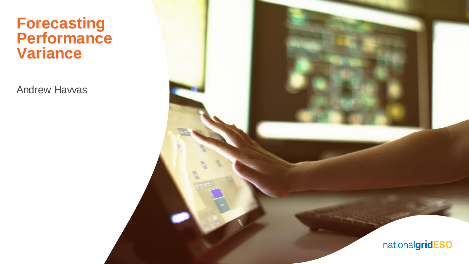#### **Forecasting Performance Variance**

Andrew Havvas

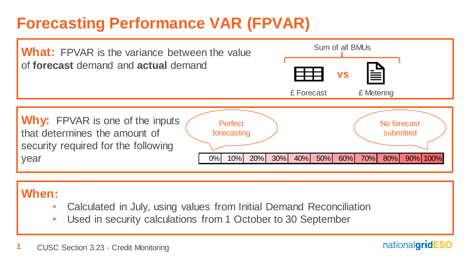## **Forecasting Performance VAR (FPVAR)**



#### **When:**

- Calculated in July, using values from Initial Demand Reconciliation
- Used in security calculations from 1 October to 30 September

nationalgridESO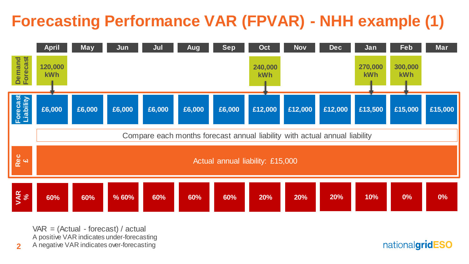# **Forecasting Performance VAR (FPVAR) - NHH example (1)**



 $VAR = (Actual - forecast) / actual$ A positive VAR indicates under-forecasting A negative VAR indicates over-forecasting

**2**

nationalgridESO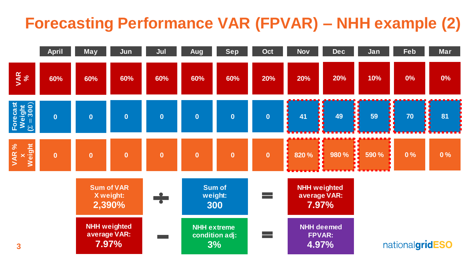## **Forecasting Performance VAR (FPVAR) – NHH example (2)**